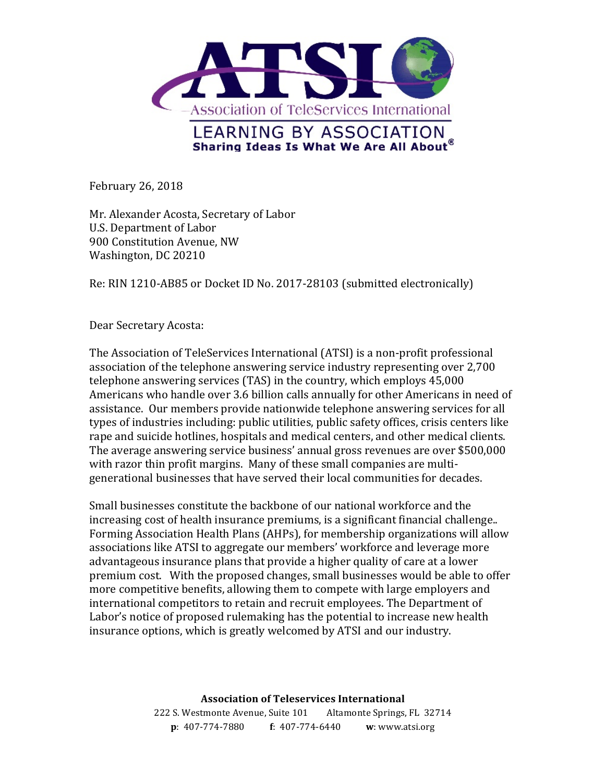

February 26, 2018

Mr. Alexander Acosta, Secretary of Labor U.S. Department of Labor 900 Constitution Avenue, NW Washington, DC 20210

Re: RIN 1210-AB85 or Docket ID No. 2017-28103 (submitted electronically)

Dear Secretary Acosta:

The Association of TeleServices International (ATSI) is a non-profit professional association of the telephone answering service industry representing over 2,700 telephone answering services (TAS) in the country, which employs 45,000 Americans who handle over 3.6 billion calls annually for other Americans in need of assistance. Our members provide nationwide telephone answering services for all types of industries including: public utilities, public safety offices, crisis centers like rape and suicide hotlines, hospitals and medical centers, and other medical clients. The average answering service business' annual gross revenues are over \$500,000 with razor thin profit margins. Many of these small companies are multigenerational businesses that have served their local communities for decades.

Small businesses constitute the backbone of our national workforce and the increasing cost of health insurance premiums, is a significant financial challenge.. Forming Association Health Plans (AHPs), for membership organizations will allow associations like ATSI to aggregate our members' workforce and leverage more advantageous insurance plans that provide a higher quality of care at a lower premium cost. With the proposed changes, small businesses would be able to offer more competitive benefits, allowing them to compete with large employers and international competitors to retain and recruit employees. The Department of Labor's notice of proposed rulemaking has the potential to increase new health insurance options, which is greatly welcomed by ATSI and our industry.

> **Association of Teleservices International** 222 S. Westmonte Avenue, Suite 101 Altamonte Springs, FL 32714 **p**: 407-774-7880 **f**: 407-774-6440 **w**: www.atsi.org